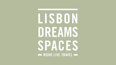# LISBON DREAMS SPACES WORK LIVE TRAVEL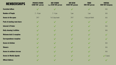| <b>MEMBERSHIPS</b>                    | <b>PRIVATE STUDIO</b><br>€200+VAT person | <b>HOT STUDIO</b><br>From €120+VAT person | <b>HOT DESK</b><br>€250+VAT penson | <b>TRIBE</b><br>€95+VAT person | <b>VIRTUAL</b><br>€60+VAT Company |
|---------------------------------------|------------------------------------------|-------------------------------------------|------------------------------------|--------------------------------|-----------------------------------|
| <b>Furnished offices</b>              |                                          |                                           | $\vee$                             | $\vee$                         | N/A                               |
| <b>Number of People</b>               | $2 - 14$ pax                             | $2 - 4$ pax                               | 1 pax                              | 1 pax                          | N/A                               |
| <b>Access to the space</b>            | 24/7                                     | 1 to 5 days/week                          | 24/7                               | 4 days per Month               | N/A                               |
| <b>Pack of meeting room hours</b>     | $\bigvee$                                |                                           | $\bigvee$                          | $\vee$                         | $\checkmark$                      |
| <b>Internet &amp; Printer</b>         |                                          |                                           |                                    | $\vee$                         | N/A                               |
| <b>Daily cleaning &amp; utilities</b> |                                          |                                           |                                    | $\vee$                         | N/A                               |
| <b>Welcome desk &amp; reception</b>   |                                          |                                           |                                    | $\vee$                         | $\bigvee$                         |
| <b>Correspondence reception</b>       |                                          |                                           | $\sqrt{}$                          | $\vee$                         | $\bigvee$                         |
| <b>Access to kitchen</b>              |                                          |                                           |                                    | $\vee$                         | N/A                               |
| <b>Showers</b>                        |                                          |                                           |                                    | $\sqrt{}$                      | N/A                               |
| <b>Access to outdoors terrace</b>     |                                          |                                           | $\sqrt{}$                          | $\bigvee$                      | N/A                               |
| <b>Access to Weekly Agenda</b>        |                                          |                                           |                                    | $\vee$                         | $\sqrt{1}$ (1 pass)               |
| <b>Official Address</b>               |                                          |                                           |                                    |                                |                                   |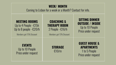## **WEEK/ MONTH**

Coming to Lisbon for a week or a Month? Contact for info.

#### **MEETING ROOMS** Up to 4 People - €15h Up to 8 people - €20/h

Members get 15% Discount Members get 15% Discount

#### **COACHING & THERAPY ROOM** 2 People - €16/h

**SITTING DINNER OUTSIDE / INSIDE** Up to 10 People Price under request

#### **EVENTS** Up to 10 People Price under request

**STORAGE** €10/m

### **GUEST HOUSE & APARTMENTS** 1 to 5 People

Price under request